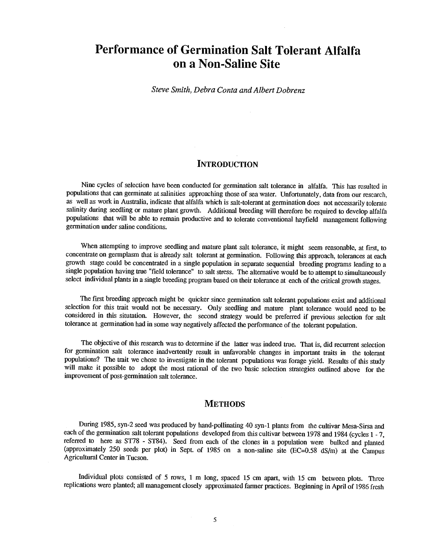## Performance of Germination Salt Tolerant Alfalfa on a Non -Saline Site

Steve Smith, Debra Conta and Albert Dobrenz

## **INTRODUCTION**

Nine cycles of selection have been conducted for germination salt tolerance in alfalfa. This has resulted in populations that can germinate at salinities approaching those of sea water. Unfortunately, data from our research, as well as work in Australia, indicate that alfalfa which is salt -tolerant at germination does not necessarily tolerate salinity during seedling or mature plant growth. Additional breeding will therefore be required to develop alfalfa populations that will be able to remain productive and to tolerate conventional hayfield management following germination under saline conditions.

When attempting to improve seedling and mature plant salt tolerance, it might seem reasonable, at first, to concentrate on germplasm that is already salt tolerant at germination. Following this approach, tolerances at each growth stage could be concentrated in a single population in separate sequential breeding programs leading to a single population having true "field tolerance" to salt stress. The alternative would be to attempt to simultaneously select individual plants in a single breeding program based on their tolerance at each of the critical growth stages.

The first breeding approach might be quicker since germination salt tolerant populations exist and additional selection for this trait would not be necessary. Only seedling and mature plant tolerance would need to be considered in this situtation. However, the second strategy would be preferred if previous selection for salt tolerance at germination had in some way negatively affected the performance of the tolerant population.

The objective of this research was to determine if the latter was indeed true. That is, did recurrent selection for germination salt tolerance inadvertently result in unfavorable changes in important traits in the tolerant populations? The trait we chose to investigate in the tolerant populations was forage yield. Results of this st will make it possible to adopt the most rational of the two basic selection strategies outlined above for the improvement of post-germination salt tolerance.

## **METHODS**

During 1985, syn -2 seed was produced by hand -pollinating 40 syn -1 plants from the cultivar Mesa -Sirsa and each of the germination salt tolerant populations developed from this cultivar between 1978 and 1984 (cycles 1 - 7, referred to here as ST78 - ST84). Seed from each of the clones in a population were bulked and planted (approximately 250 seeds per plot) in Sept. of 1985 on a non-saline site  $(EC=0.58 \text{ dS/m})$  at the Campus Agricultural Center in Tucson.

Individual plots consisted of 5 rows, 1 m long, spaced 15 cm apart, with 15 cm between plots. Three replications were planted; all management closely approximated farmer practices. Beginning in April of 1986 fresh